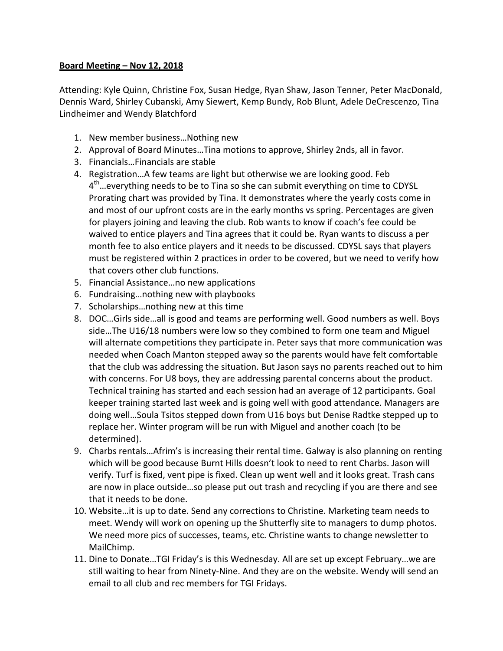## **Board Meeting – Nov 12, 2018**

Attending: Kyle Quinn, Christine Fox, Susan Hedge, Ryan Shaw, Jason Tenner, Peter MacDonald, Dennis Ward, Shirley Cubanski, Amy Siewert, Kemp Bundy, Rob Blunt, Adele DeCrescenzo, Tina Lindheimer and Wendy Blatchford

- 1. New member business... Nothing new
- 2. Approval of Board Minutes...Tina motions to approve, Shirley 2nds, all in favor.
- 3. Financials...Financials are stable
- 4. Registration...A few teams are light but otherwise we are looking good. Feb  $4<sup>th</sup>$  everything needs to be to Tina so she can submit everything on time to CDYSL Prorating chart was provided by Tina. It demonstrates where the yearly costs come in and most of our upfront costs are in the early months vs spring. Percentages are given for players joining and leaving the club. Rob wants to know if coach's fee could be waived to entice players and Tina agrees that it could be. Ryan wants to discuss a per month fee to also entice players and it needs to be discussed. CDYSL says that players must be registered within 2 practices in order to be covered, but we need to verify how that covers other club functions.
- 5. Financial Assistance...no new applications
- 6. Fundraising...nothing new with playbooks
- 7. Scholarships... nothing new at this time
- 8. DOC...Girls side...all is good and teams are performing well. Good numbers as well. Boys side...The U16/18 numbers were low so they combined to form one team and Miguel will alternate competitions they participate in. Peter says that more communication was needed when Coach Manton stepped away so the parents would have felt comfortable that the club was addressing the situation. But Jason says no parents reached out to him with concerns. For U8 boys, they are addressing parental concerns about the product. Technical training has started and each session had an average of 12 participants. Goal keeper training started last week and is going well with good attendance. Managers are doing well...Soula Tsitos stepped down from U16 boys but Denise Radtke stepped up to replace her. Winter program will be run with Miguel and another coach (to be determined).
- 9. Charbs rentals...Afrim's is increasing their rental time. Galway is also planning on renting which will be good because Burnt Hills doesn't look to need to rent Charbs. Jason will verify. Turf is fixed, vent pipe is fixed. Clean up went well and it looks great. Trash cans are now in place outside...so please put out trash and recycling if you are there and see that it needs to be done.
- 10. Website...it is up to date. Send any corrections to Christine. Marketing team needs to meet. Wendy will work on opening up the Shutterfly site to managers to dump photos. We need more pics of successes, teams, etc. Christine wants to change newsletter to MailChimp.
- 11. Dine to Donate...TGI Friday's is this Wednesday. All are set up except February...we are still waiting to hear from Ninety-Nine. And they are on the website. Wendy will send an email to all club and rec members for TGI Fridays.